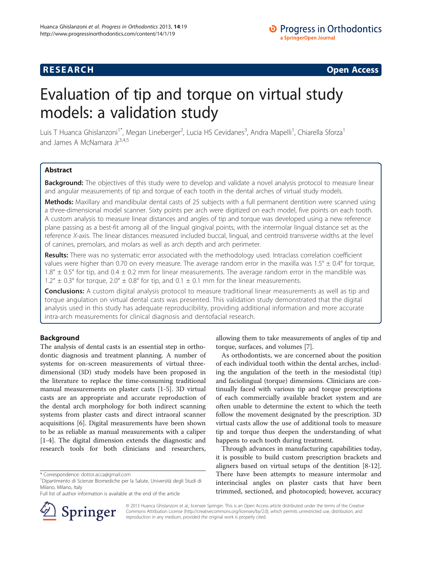## **RESEARCH RESEARCH CONSUMING ACCESS**

# Evaluation of tip and torque on virtual study models: a validation study

Luis T Huanca Ghislanzoni<sup>1\*</sup>, Megan Lineberger<sup>2</sup>, Lucia HS Cevidanes<sup>3</sup>, Andra Mapelli<sup>1</sup>, Chiarella Sforza<sup>1</sup> and James A McNamara Jr<sup>3,4,5</sup>

## Abstract

Background: The objectives of this study were to develop and validate a novel analysis protocol to measure linear and angular measurements of tip and torque of each tooth in the dental arches of virtual study models.

Methods: Maxillary and mandibular dental casts of 25 subjects with a full permanent dentition were scanned using a three-dimensional model scanner. Sixty points per arch were digitized on each model, five points on each tooth. A custom analysis to measure linear distances and angles of tip and torque was developed using a new reference plane passing as a best-fit among all of the lingual gingival points, with the intermolar lingual distance set as the reference X-axis. The linear distances measured included buccal, lingual, and centroid transverse widths at the level of canines, premolars, and molars as well as arch depth and arch perimeter.

Results: There was no systematic error associated with the methodology used. Intraclass correlation coefficient values were higher than 0.70 on every measure. The average random error in the maxilla was  $1.5^\circ \pm 0.4^\circ$  for torque,  $1.8^{\circ} \pm 0.5^{\circ}$  for tip, and  $0.4 \pm 0.2$  mm for linear measurements. The average random error in the mandible was  $1.2^{\circ} \pm 0.3^{\circ}$  for torque,  $2.0^{\circ} \pm 0.8^{\circ}$  for tip, and  $0.1 \pm 0.1$  mm for the linear measurements.

**Conclusions:** A custom digital analysis protocol to measure traditional linear measurements as well as tip and torque angulation on virtual dental casts was presented. This validation study demonstrated that the digital analysis used in this study has adequate reproducibility, providing additional information and more accurate intra-arch measurements for clinical diagnosis and dentofacial research.

## Background

The analysis of dental casts is an essential step in orthodontic diagnosis and treatment planning. A number of systems for on-screen measurements of virtual threedimensional (3D) study models have been proposed in the literature to replace the time-consuming traditional manual measurements on plaster casts [[1-5](#page-5-0)]. 3D virtual casts are an appropriate and accurate reproduction of the dental arch morphology for both indirect scanning systems from plaster casts and direct intraoral scanner acquisitions [[6\]](#page-5-0). Digital measurements have been shown to be as reliable as manual measurements with a caliper [[1-4](#page-5-0)]. The digital dimension extends the diagnostic and research tools for both clinicians and researchers,

Full list of author information is available at the end of the article



allowing them to take measurements of angles of tip and torque, surfaces, and volumes [[7](#page-5-0)].

As orthodontists, we are concerned about the position of each individual tooth within the dental arches, including the angulation of the teeth in the mesiodistal (tip) and faciolingual (torque) dimensions. Clinicians are continually faced with various tip and torque prescriptions of each commercially available bracket system and are often unable to determine the extent to which the teeth follow the movement designated by the prescription. 3D virtual casts allow the use of additional tools to measure tip and torque thus deepen the understanding of what happens to each tooth during treatment.

Through advances in manufacturing capabilities today, it is possible to build custom prescription brackets and aligners based on virtual setups of the dentition [[8-12](#page-5-0)]. There have been attempts to measure intermolar and interincisal angles on plaster casts that have been trimmed, sectioned, and photocopied; however, accuracy

© 2013 Huanca Ghislanzoni et al.; licensee Springer. This is an Open Access article distributed under the terms of the Creative Commons Attribution License (<http://creativecommons.org/licenses/by/2.0>), which permits unrestricted use, distribution, and reproduction in any medium, provided the original work is properly cited.

<sup>\*</sup> Correspondence: [dottor.acca@gmail.com](mailto:dottor.acca@gmail.com) <sup>1</sup>

Dipartimento di Scienze Biomediche per la Salute, Università degli Studi di Milano, Milano, Italy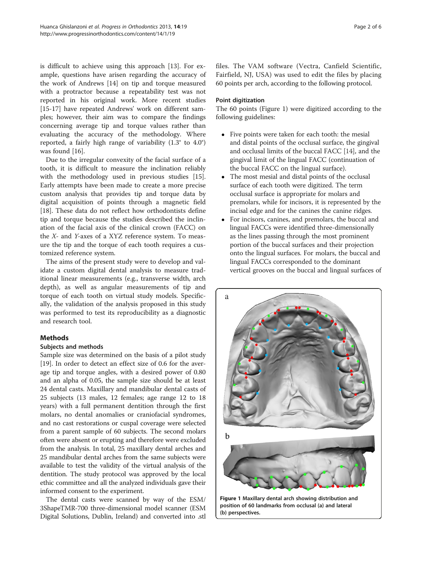is difficult to achieve using this approach [\[13\]](#page-5-0). For example, questions have arisen regarding the accuracy of the work of Andrews [\[14\]](#page-5-0) on tip and torque measured with a protractor because a repeatability test was not reported in his original work. More recent studies [[15-17](#page-5-0)] have repeated Andrews' work on different samples; however, their aim was to compare the findings concerning average tip and torque values rather than evaluating the accuracy of the methodology. Where reported, a fairly high range of variability (1.3° to 4.0°) was found [[16\]](#page-5-0).

Due to the irregular convexity of the facial surface of a tooth, it is difficult to measure the inclination reliably with the methodology used in previous studies [\[15](#page-5-0)]. Early attempts have been made to create a more precise custom analysis that provides tip and torque data by digital acquisition of points through a magnetic field [[18\]](#page-5-0). These data do not reflect how orthodontists define tip and torque because the studies described the inclination of the facial axis of the clinical crown (FACC) on the X- and Y-axes of a XYZ reference system. To measure the tip and the torque of each tooth requires a customized reference system.

The aims of the present study were to develop and validate a custom digital dental analysis to measure traditional linear measurements (e.g., transverse width, arch depth), as well as angular measurements of tip and torque of each tooth on virtual study models. Specifically, the validation of the analysis proposed in this study was performed to test its reproducibility as a diagnostic and research tool.

## **Methods**

#### Subjects and methods

Sample size was determined on the basis of a pilot study [[19\]](#page-5-0). In order to detect an effect size of 0.6 for the average tip and torque angles, with a desired power of 0.80 and an alpha of 0.05, the sample size should be at least 24 dental casts. Maxillary and mandibular dental casts of 25 subjects (13 males, 12 females; age range 12 to 18 years) with a full permanent dentition through the first molars, no dental anomalies or craniofacial syndromes, and no cast restorations or cuspal coverage were selected from a parent sample of 60 subjects. The second molars often were absent or erupting and therefore were excluded from the analysis. In total, 25 maxillary dental arches and 25 mandibular dental arches from the same subjects were available to test the validity of the virtual analysis of the dentition. The study protocol was approved by the local ethic committee and all the analyzed individuals gave their informed consent to the experiment.

The dental casts were scanned by way of the ESM/ 3ShapeTMR-700 three-dimensional model scanner (ESM Digital Solutions, Dublin, Ireland) and converted into .stl

files. The VAM software (Vectra, Canfield Scientific, Fairfield, NJ, USA) was used to edit the files by placing 60 points per arch, according to the following protocol.

## Point digitization

The 60 points (Figure 1) were digitized according to the following guidelines:

- Five points were taken for each tooth: the mesial and distal points of the occlusal surface, the gingival and occlusal limits of the buccal FACC [\[14\]](#page-5-0), and the gingival limit of the lingual FACC (continuation of the buccal FACC on the lingual surface).
- The most mesial and distal points of the occlusal surface of each tooth were digitized. The term occlusal surface is appropriate for molars and premolars, while for incisors, it is represented by the incisal edge and for the canines the canine ridges.
- For incisors, canines, and premolars, the buccal and lingual FACCs were identified three-dimensionally as the lines passing through the most prominent portion of the buccal surfaces and their projection onto the lingual surfaces. For molars, the buccal and lingual FACCs corresponded to the dominant vertical grooves on the buccal and lingual surfaces of

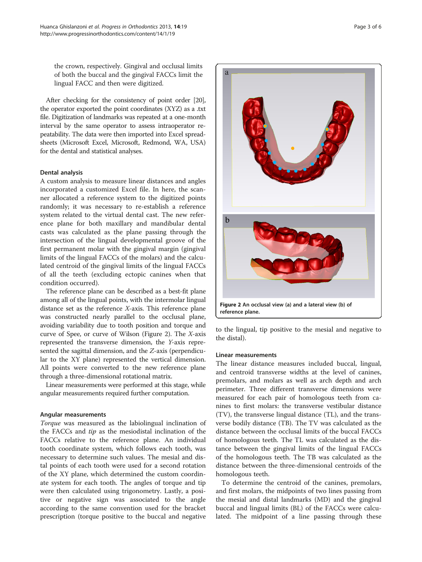the crown, respectively. Gingival and occlusal limits of both the buccal and the gingival FACCs limit the lingual FACC and then were digitized.

After checking for the consistency of point order [\[20](#page-5-0)], the operator exported the point coordinates (XYZ) as a .txt file. Digitization of landmarks was repeated at a one-month interval by the same operator to assess intraoperator repeatability. The data were then imported into Excel spreadsheets (Microsoft Excel, Microsoft, Redmond, WA, USA) for the dental and statistical analyses.

#### Dental analysis

A custom analysis to measure linear distances and angles incorporated a customized Excel file. In here, the scanner allocated a reference system to the digitized points randomly; it was necessary to re-establish a reference system related to the virtual dental cast. The new reference plane for both maxillary and mandibular dental casts was calculated as the plane passing through the intersection of the lingual developmental groove of the first permanent molar with the gingival margin (gingival limits of the lingual FACCs of the molars) and the calculated centroid of the gingival limits of the lingual FACCs of all the teeth (excluding ectopic canines when that condition occurred).

The reference plane can be described as a best-fit plane among all of the lingual points, with the intermolar lingual distance set as the reference X-axis. This reference plane was constructed nearly parallel to the occlusal plane, avoiding variability due to tooth position and torque and curve of Spee, or curve of Wilson (Figure 2). The X-axis represented the transverse dimension, the Y-axis represented the sagittal dimension, and the Z-axis (perpendicular to the XY plane) represented the vertical dimension. All points were converted to the new reference plane through a three-dimensional rotational matrix.

Linear measurements were performed at this stage, while angular measurements required further computation.

#### Angular measurements

Torque was measured as the labiolingual inclination of the FACCs and tip as the mesiodistal inclination of the FACCs relative to the reference plane. An individual tooth coordinate system, which follows each tooth, was necessary to determine such values. The mesial and distal points of each tooth were used for a second rotation of the XY plane, which determined the custom coordinate system for each tooth. The angles of torque and tip were then calculated using trigonometry. Lastly, a positive or negative sign was associated to the angle according to the same convention used for the bracket prescription (torque positive to the buccal and negative



to the lingual, tip positive to the mesial and negative to the distal).

#### Linear measurements

The linear distance measures included buccal, lingual, and centroid transverse widths at the level of canines, premolars, and molars as well as arch depth and arch perimeter. Three different transverse dimensions were measured for each pair of homologous teeth from canines to first molars: the transverse vestibular distance (TV), the transverse lingual distance (TL), and the transverse bodily distance (TB). The TV was calculated as the distance between the occlusal limits of the buccal FACCs of homologous teeth. The TL was calculated as the distance between the gingival limits of the lingual FACCs of the homologous teeth. The TB was calculated as the distance between the three-dimensional centroids of the homologous teeth.

To determine the centroid of the canines, premolars, and first molars, the midpoints of two lines passing from the mesial and distal landmarks (MD) and the gingival buccal and lingual limits (BL) of the FACCs were calculated. The midpoint of a line passing through these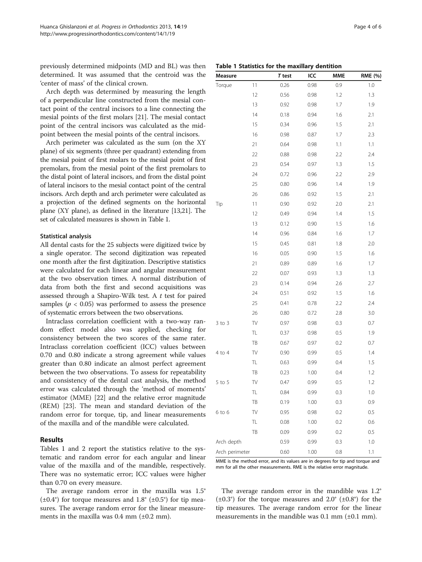previously determined midpoints (MD and BL) was then determined. It was assumed that the centroid was the 'center of mass' of the clinical crown.

Arch depth was determined by measuring the length of a perpendicular line constructed from the mesial contact point of the central incisors to a line connecting the mesial points of the first molars [\[21\]](#page-5-0). The mesial contact point of the central incisors was calculated as the midpoint between the mesial points of the central incisors.

Arch perimeter was calculated as the sum (on the XY plane) of six segments (three per quadrant) extending from the mesial point of first molars to the mesial point of first premolars, from the mesial point of the first premolars to the distal point of lateral incisors, and from the distal point of lateral incisors to the mesial contact point of the central incisors. Arch depth and arch perimeter were calculated as a projection of the defined segments on the horizontal plane (XY plane), as defined in the literature [\[13,21\]](#page-5-0). The set of calculated measures is shown in Table 1.

#### Statistical analysis

All dental casts for the 25 subjects were digitized twice by a single operator. The second digitization was repeated one month after the first digitization. Descriptive statistics were calculated for each linear and angular measurement at the two observation times. A normal distribution of data from both the first and second acquisitions was assessed through a Shapiro-Wilk test. A t test for paired samples ( $p < 0.05$ ) was performed to assess the presence of systematic errors between the two observations.

Intraclass correlation coefficient with a two-way random effect model also was applied, checking for consistency between the two scores of the same rater. Intraclass correlation coefficient (ICC) values between 0.70 and 0.80 indicate a strong agreement while values greater than 0.80 indicate an almost perfect agreement between the two observations. To assess for repeatability and consistency of the dental cast analysis, the method error was calculated through the 'method of moments' estimator (MME) [\[22](#page-5-0)] and the relative error magnitude (REM) [\[23](#page-5-0)]. The mean and standard deviation of the random error for torque, tip, and linear measurements of the maxilla and of the mandible were calculated.

## Results

Tables 1 and [2](#page-4-0) report the statistics relative to the systematic and random error for each angular and linear value of the maxilla and of the mandible, respectively. There was no systematic error; ICC values were higher than 0.70 on every measure.

The average random error in the maxilla was 1.5°  $(\pm 0.4^{\circ})$  for torque measures and 1.8°  $(\pm 0.5^{\circ})$  for tip measures. The average random error for the linear measurements in the maxilla was  $0.4$  mm  $(\pm 0.2$  mm).

|  |  |  |  |  |  | Table 1 Statistics for the maxillary dentition |
|--|--|--|--|--|--|------------------------------------------------|
|--|--|--|--|--|--|------------------------------------------------|

| Measure        |    | T test | ICC  | <b>MME</b> | RME (%) |
|----------------|----|--------|------|------------|---------|
| Torque         | 11 | 0.26   | 0.98 | 0.9        | 1.0     |
|                | 12 | 0.56   | 0.98 | 1.2        | 1.3     |
|                | 13 | 0.92   | 0.98 | 1.7        | 1.9     |
|                | 14 | 0.18   | 0.94 | 1.6        | 2.1     |
|                | 15 | 0.34   | 0.96 | 1.5        | 2.1     |
|                | 16 | 0.98   | 0.87 | 1.7        | 2.3     |
|                | 21 | 0.64   | 0.98 | 1.1        | 1.1     |
|                | 22 | 0.88   | 0.98 | 2.2        | 2.4     |
|                | 23 | 0.54   | 0.97 | 1.3        | 1.5     |
|                | 24 | 0.72   | 0.96 | 2.2        | 2.9     |
|                | 25 | 0.80   | 0.96 | 1.4        | 1.9     |
|                | 26 | 0.86   | 0.92 | 1.5        | 2.1     |
| Tip            | 11 | 0.90   | 0.92 | 2.0        | 2.1     |
|                | 12 | 0.49   | 0.94 | 1.4        | 1.5     |
|                | 13 | 0.12   | 0.90 | 1.5        | 1.6     |
|                | 14 | 0.96   | 0.84 | 1.6        | 1.7     |
|                | 15 | 0.45   | 0.81 | 1.8        | 2.0     |
|                | 16 | 0.05   | 0.90 | 1.5        | 1.6     |
|                | 21 | 0.89   | 0.89 | 1.6        | 1.7     |
|                | 22 | 0.07   | 0.93 | 1.3        | 1.3     |
|                | 23 | 0.14   | 0.94 | 2.6        | 2.7     |
|                | 24 | 0.51   | 0.92 | 1.5        | 1.6     |
|                | 25 | 0.41   | 0.78 | 2.2        | 2.4     |
|                | 26 | 0.80   | 0.72 | 2.8        | 3.0     |
| $3$ to $3$     | TV | 0.97   | 0.98 | 0.3        | 0.7     |
|                | TL | 0.37   | 0.98 | 0.5        | 1.9     |
|                | TB | 0.67   | 0.97 | 0.2        | 0.7     |
| 4 to 4         | TV | 0.90   | 0.99 | 0.5        | 1.4     |
|                | TL | 0.63   | 0.99 | 0.4        | 1.5     |
|                | TB | 0.23   | 1.00 | 0.4        | 1.2     |
| $5$ to $5$     | TV | 0.47   | 0.99 | 0.5        | 1.2     |
|                | TL | 0.84   | 0.99 | 0.3        | 1.0     |
|                | TB | 0.19   | 1.00 | 0.3        | 0.9     |
| $6$ to $6$     | TV | 0.95   | 0.98 | 0.2        | 0.5     |
|                | TL | 0.08   | 1.00 | 0.2        | 0.6     |
|                | TB | 0.09   | 0.99 | 0.2        | 0.5     |
| Arch depth     |    | 0.59   | 0.99 | 0.3        | 1.0     |
| Arch perimeter |    | 0.60   | 1.00 | 0.8        | 1.1     |

MME is the method error, and its values are in degrees for tip and torque and mm for all the other measurements. RME is the relative error magnitude.

The average random error in the mandible was 1.2°  $(\pm 0.3^{\circ})$  for the torque measures and 2.0° ( $\pm 0.8^{\circ}$ ) for the tip measures. The average random error for the linear measurements in the mandible was  $0.1$  mm  $(\pm 0.1$  mm).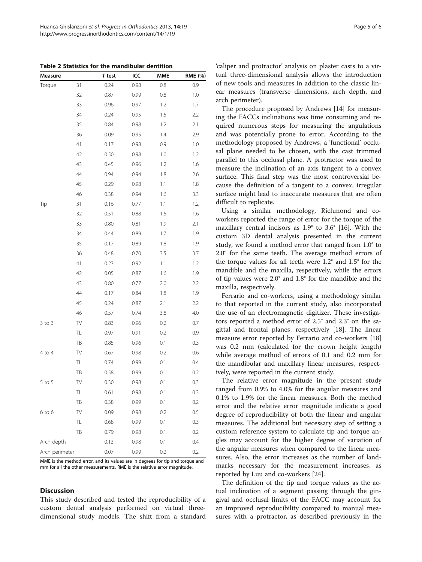<span id="page-4-0"></span>Table 2 Statistics for the mandibular dentition

| <b>Measure</b> |                          | <b>T</b> test | ICC  | <b>MME</b> | RME (%) |
|----------------|--------------------------|---------------|------|------------|---------|
| Torque         | 31                       | 0.24          | 0.98 | 0.8        | 0.9     |
|                | 32                       | 0.87          | 0.99 | 0.8        | 1.0     |
|                | 33                       | 0.96          | 0.97 | 1.2        | 1.7     |
|                | 34                       | 0.24          | 0.95 | 1.5        | 2.2     |
|                | 35                       | 0.84          | 0.98 | 1.2        | 2.1     |
|                | 36                       | 0.09          | 0.95 | 1.4        | 2.9     |
|                | 41                       | 0.17          | 0.98 | 0.9        | 1.0     |
|                | 42                       | 0.50          | 0.98 | 1.0        | 1.2     |
|                | 43                       | 0.45          | 0.96 | 1.2        | 1.6     |
|                | 44                       | 0.94          | 0.94 | $1.8\,$    | 2.6     |
|                | 45                       | 0.29          | 0.98 | 1.1        | 1.8     |
|                | 46                       | 0.38          | 0.94 | 1.6        | 3.3     |
| Tip            | 31                       | 0.16          | 0.77 | 1.1        | 1.2     |
|                | 32                       | 0.51          | 0.88 | 1.5        | 1.6     |
|                | 33                       | 0.80          | 0.81 | 1.9        | 2.1     |
|                | 34                       | 0.44          | 0.89 | 1.7        | 1.9     |
|                | 35                       | 0.17          | 0.89 | 1.8        | 1.9     |
|                | 36                       | 0.48          | 0.70 | 3.5        | 3.7     |
|                | 41                       | 0.23          | 0.92 | 1.1        | 1.2     |
|                | 42                       | 0.05          | 0.87 | 1.6        | 1.9     |
|                | 43                       | 0.80          | 0.77 | 2.0        | 2.2     |
|                | 44                       | 0.17          | 0.84 | 1.8        | 1.9     |
|                | 45                       | 0.24          | 0.87 | 2.1        | 2.2     |
|                | 46                       | 0.57          | 0.74 | 3.8        | 4.0     |
| $3$ to $3$     | $\mathbb{T}\!\mathsf{V}$ | 0.83          | 0.96 | 0.2        | 0.7     |
|                | TL                       | 0.97          | 0.91 | 0.2        | 0.9     |
|                | TB                       | 0.85          | 0.96 | 0.1        | 0.3     |
| 4 to 4         | TV                       | 0.67          | 0.98 | 0.2        | 0.6     |
|                | TL                       | 0.74          | 0.99 | 0.1        | 0.4     |
|                | TB                       | 0.58          | 0.99 | 0.1        | 0.2     |
| $5$ to $5$     | TV                       | 0.30          | 0.98 | 0.1        | 0.3     |
|                | TL                       | 0.61          | 0.98 | 0.1        | 0.3     |
|                | TB                       | 0.38          | 0.99 | 0.1        | 0.2     |
| $6$ to $6$     | TV                       | 0.09          | 0.98 | 0.2        | 0.5     |
|                | TL                       | 0.68          | 0.99 | 0.1        | 0.3     |
|                | TB                       | 0.79          | 0.98 | 0.1        | 0.2     |
| Arch depth     |                          | 0.13          | 0.98 | 0.1        | 0.4     |
| Arch perimeter |                          | 0.07          | 0.99 | 0.2        | 0.2     |

MME is the method error, and its values are in degrees for tip and torque and mm for all the other measurements. RME is the relative error magnitude.

## **Discussion**

This study described and tested the reproducibility of a custom dental analysis performed on virtual threedimensional study models. The shift from a standard

'caliper and protractor' analysis on plaster casts to a virtual three-dimensional analysis allows the introduction of new tools and measures in addition to the classic linear measures (transverse dimensions, arch depth, and arch perimeter).

The procedure proposed by Andrews [[14\]](#page-5-0) for measuring the FACCs inclinations was time consuming and required numerous steps for measuring the angulations and was potentially prone to error. According to the methodology proposed by Andrews, a 'functional' occlusal plane needed to be chosen, with the cast trimmed parallel to this occlusal plane. A protractor was used to measure the inclination of an axis tangent to a convex surface. This final step was the most controversial because the definition of a tangent to a convex, irregular surface might lead to inaccurate measures that are often difficult to replicate.

Using a similar methodology, Richmond and coworkers reported the range of error for the torque of the maxillary central incisors as 1.9° to 3.6° [[16\]](#page-5-0). With the custom 3D dental analysis presented in the current study, we found a method error that ranged from 1.0° to 2.0° for the same teeth. The average method errors of the torque values for all teeth were 1.2° and 1.5° for the mandible and the maxilla, respectively, while the errors of tip values were 2.0° and 1.8° for the mandible and the maxilla, respectively.

Ferrario and co-workers, using a methodology similar to that reported in the current study, also incorporated the use of an electromagnetic digitizer. These investigators reported a method error of 2.5° and 2.3° on the sagittal and frontal planes, respectively [\[18](#page-5-0)]. The linear measure error reported by Ferrario and co-workers [[18](#page-5-0)] was 0.2 mm (calculated for the crown height length) while average method of errors of 0.1 and 0.2 mm for the mandibular and maxillary linear measures, respectively, were reported in the current study.

The relative error magnitude in the present study ranged from 0.9% to 4.0% for the angular measures and 0.1% to 1.9% for the linear measures. Both the method error and the relative error magnitude indicate a good degree of reproducibility of both the linear and angular measures. The additional but necessary step of setting a custom reference system to calculate tip and torque angles may account for the higher degree of variation of the angular measures when compared to the linear measures. Also, the error increases as the number of landmarks necessary for the measurement increases, as reported by Luu and co-workers [[24](#page-5-0)].

The definition of the tip and torque values as the actual inclination of a segment passing through the gingival and occlusal limits of the FACC may account for an improved reproducibility compared to manual measures with a protractor, as described previously in the